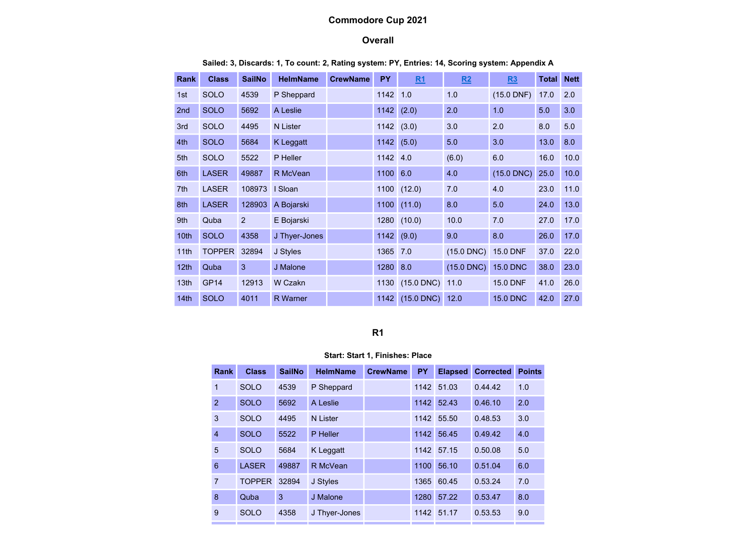# Commodore Cup 2021

### **Overall**

| <b>Rank</b>      | <b>Class</b>  | <b>SailNo</b> | <b>HelmName</b> | <b>CrewName</b> | <b>PY</b> | <u>R1</u>           | R2           | R3              | Total | <b>Nett</b> |
|------------------|---------------|---------------|-----------------|-----------------|-----------|---------------------|--------------|-----------------|-------|-------------|
| 1st              | <b>SOLO</b>   | 4539          | P Sheppard      |                 | 1142      | 1.0                 | 1.0          | $(15.0$ DNF)    | 17.0  | 2.0         |
| 2 <sub>nd</sub>  | <b>SOLO</b>   | 5692          | A Leslie        |                 | 1142      | (2.0)               | 2.0          | 1.0             | 5.0   | 3.0         |
| 3rd              | <b>SOLO</b>   | 4495          | N Lister        |                 | 1142      | (3.0)               | 3.0          | 2.0             | 8.0   | 5.0         |
| 4th              | <b>SOLO</b>   | 5684          | K Leggatt       |                 | 1142      | (5.0)               | 5.0          | 3.0             | 13.0  | 8.0         |
| 5th              | <b>SOLO</b>   | 5522          | P Heller        |                 | 1142      | 4.0                 | (6.0)        | 6.0             | 16.0  | 10.0        |
| 6th              | <b>LASER</b>  | 49887         | R McVean        |                 | 1100      | 6.0                 | 4.0          | $(15.0$ DNC)    | 25.0  | 10.0        |
| 7th              | <b>LASER</b>  | 108973        | I Sloan         |                 | 1100      | (12.0)              | 7.0          | 4.0             | 23.0  | 11.0        |
| 8th              | <b>LASER</b>  | 128903        | A Bojarski      |                 | 1100      | (11.0)              | 8.0          | 5.0             | 24.0  | 13.0        |
| 9th              | Quba          | 2             | E Bojarski      |                 | 1280      | (10.0)              | 10.0         | 7.0             | 27.0  | 17.0        |
| 10 <sub>th</sub> | <b>SOLO</b>   | 4358          | J Thyer-Jones   |                 | 1142      | (9.0)               | 9.0          | 8.0             | 26.0  | 17.0        |
| 11th             | <b>TOPPER</b> | 32894         | J Styles        |                 | 1365      | 7.0                 | $(15.0$ DNC) | <b>15.0 DNF</b> | 37.0  | 22.0        |
| 12 <sub>th</sub> | Quba          | 3             | J Malone        |                 | 1280      | 8.0                 | $(15.0$ DNC) | <b>15.0 DNC</b> | 38.0  | 23.0        |
| 13 <sub>th</sub> | <b>GP14</b>   | 12913         | W Czakn         |                 | 1130      | $(15.0$ DNC)        | 11.0         | <b>15.0 DNF</b> | 41.0  | 26.0        |
| 14th             | <b>SOLO</b>   | 4011          | <b>R</b> Warner |                 | 1142      | $(15.0$ DNC) $12.0$ |              | <b>15.0 DNC</b> | 42.0  | 27.0        |

Sailed: 3, Discards: 1, To count: 2, Rating system: PY, Entries: 14, Scoring system: Appendix A

# R1

#### Start: Start 1, Finishes: Place

| Rank           | <b>Class</b>  | <b>SailNo</b> | <b>HelmName</b> | <b>CrewName</b> | <b>PY</b> | <b>Elapsed</b> | <b>Corrected</b> | <b>Points</b> |
|----------------|---------------|---------------|-----------------|-----------------|-----------|----------------|------------------|---------------|
| $\overline{1}$ | <b>SOLO</b>   | 4539          | P Sheppard      |                 | 1142      | 51.03          | 0.44.42          | 1.0           |
| 2              | <b>SOLO</b>   | 5692          | A Leslie        |                 | 1142      | 52.43          | 0.46.10          | 2.0           |
| 3              | <b>SOLO</b>   | 4495          | <b>N</b> Lister |                 | 1142      | 55.50          | 0.48.53          | 3.0           |
| $\overline{4}$ | <b>SOLO</b>   | 5522          | P Heller        |                 | 1142      | 56.45          | 0.49.42          | 4.0           |
| 5              | <b>SOLO</b>   | 5684          | K Leggatt       |                 | 1142      | 57.15          | 0.50.08          | 5.0           |
| 6              | <b>LASER</b>  | 49887         | R McVean        |                 | 1100      | 56.10          | 0.51.04          | 6.0           |
| $\overline{7}$ | <b>TOPPER</b> | 32894         | J Styles        |                 | 1365      | 60.45          | 0.53.24          | 7.0           |
| 8              | Quba          | 3             | J Malone        |                 | 1280      | 57.22          | 0.53.47          | 8.0           |
| 9              | <b>SOLO</b>   | 4358          | J Thyer-Jones   |                 | 1142      | 51.17          | 0.53.53          | 9.0           |
|                |               |               |                 |                 |           |                |                  |               |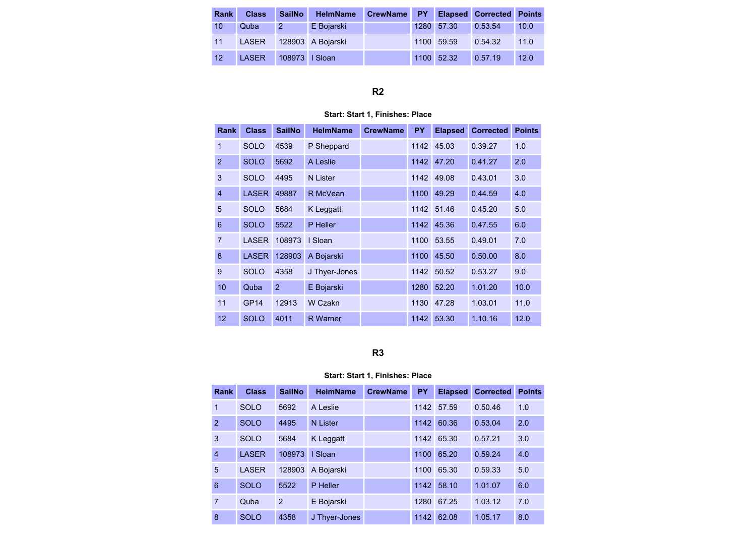| <b>Rank</b> | <b>Class</b> | <b>SailNo</b>  | <b>HelmName</b>   | CrewName PY |            | <b>Elapsed Corrected Points</b> |      |
|-------------|--------------|----------------|-------------------|-------------|------------|---------------------------------|------|
| 10          | Quba         | $2^{\circ}$    | E Bojarski        |             | 1280 57.30 | 0.53.54                         | 10.0 |
| 11          | LASER        |                | 128903 A Bojarski |             | 1100 59.59 | 0.54.32                         | 11.0 |
| 12          | <b>LASER</b> | 108973   Sloan |                   |             | 1100 52.32 | 0.57.19                         | 12.0 |

# R2

### Start: Start 1, Finishes: Place

| <b>Rank</b>     | <b>Class</b> | <b>SailNo</b> | <b>HelmName</b> | <b>CrewName</b> | <b>PY</b> | <b>Elapsed</b> | <b>Corrected</b> | <b>Points</b> |
|-----------------|--------------|---------------|-----------------|-----------------|-----------|----------------|------------------|---------------|
| 1               | <b>SOLO</b>  | 4539          | P Sheppard      |                 | 1142      | 45.03          | 0.39.27          | 1.0           |
| $\overline{2}$  | <b>SOLO</b>  | 5692          | A Leslie        |                 | 1142      | 47.20          | 0.41.27          | 2.0           |
| 3               | <b>SOLO</b>  | 4495          | <b>N</b> Lister |                 | 1142      | 49.08          | 0.43.01          | 3.0           |
| $\overline{4}$  | <b>LASER</b> | 49887         | R McVean        |                 | 1100      | 49.29          | 0.44.59          | 4.0           |
| 5               | <b>SOLO</b>  | 5684          | K Leggatt       |                 | 1142      | 51.46          | 0.45.20          | 5.0           |
| $6\phantom{1}6$ | <b>SOLO</b>  | 5522          | P Heller        |                 | 1142      | 45.36          | 0.47.55          | 6.0           |
| $\overline{7}$  | LASER        | 108973        | I Sloan         |                 | 1100      | 53.55          | 0.49.01          | 7.0           |
| 8               | <b>LASER</b> | 128903        | A Bojarski      |                 | 1100      | 45.50          | 0.50.00          | 8.0           |
| 9               | <b>SOLO</b>  | 4358          | J Thyer-Jones   |                 | 1142      | 50.52          | 0.53.27          | 9.0           |
| 10              | Quba         | 2             | E Bojarski      |                 | 1280      | 52.20          | 1.01.20          | 10.0          |
| 11              | <b>GP14</b>  | 12913         | W Czakn         |                 | 1130      | 47.28          | 1.03.01          | 11.0          |
| 12              | <b>SOLO</b>  | 4011          | <b>R</b> Warner |                 | 1142      | 53.30          | 1.10.16          | 12.0          |

R3

### Start: Start 1, Finishes: Place

| Rank           | <b>Class</b> | <b>SailNo</b> | <b>HelmName</b> | <b>CrewName</b> | <b>PY</b> | <b>Elapsed</b> | <b>Corrected</b> | <b>Points</b> |
|----------------|--------------|---------------|-----------------|-----------------|-----------|----------------|------------------|---------------|
| $\overline{1}$ | <b>SOLO</b>  | 5692          | A Leslie        |                 | 1142      | 57.59          | 0.50.46          | 1.0           |
| $\overline{2}$ | <b>SOLO</b>  | 4495          | <b>N</b> Lister |                 | 1142      | 60.36          | 0.53.04          | 2.0           |
| 3              | <b>SOLO</b>  | 5684          | K Leggatt       |                 | 1142      | 65.30          | 0.57.21          | 3.0           |
| $\overline{4}$ | <b>LASER</b> | 108973        | I Sloan         |                 | 1100      | 65.20          | 0.59.24          | 4.0           |
| 5              | <b>LASER</b> | 128903        | A Bojarski      |                 | 1100      | 65.30          | 0.59.33          | 5.0           |
| 6              | <b>SOLO</b>  | 5522          | P Heller        |                 | 1142      | 58.10          | 1.01.07          | 6.0           |
| $\overline{7}$ | Quba         | 2             | E Bojarski      |                 | 1280      | 67.25          | 1.03.12          | 7.0           |
| 8              | <b>SOLO</b>  | 4358          | J Thyer-Jones   |                 | 1142      | 62.08          | 1.05.17          | 8.0           |